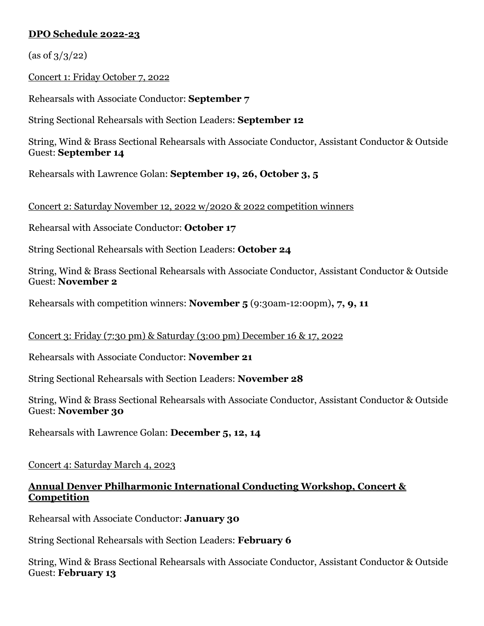# **DPO Schedule 2022-23**

 $(\text{as of } 3/3/22)$ 

Concert 1: Friday October 7, 2022

Rehearsals with Associate Conductor: **September 7**

String Sectional Rehearsals with Section Leaders: **September 12**

String, Wind & Brass Sectional Rehearsals with Associate Conductor, Assistant Conductor & Outside Guest: **September 14**

Rehearsals with Lawrence Golan: **September 19, 26, October 3, 5**

Concert 2: Saturday November 12, 2022 w/2020 & 2022 competition winners

Rehearsal with Associate Conductor: **October 17**

String Sectional Rehearsals with Section Leaders: **October 24**

String, Wind & Brass Sectional Rehearsals with Associate Conductor, Assistant Conductor & Outside Guest: **November 2**

Rehearsals with competition winners: **November 5** (9:30am-12:00pm)**, 7, 9, 11**

### Concert 3: Friday (7:30 pm) & Saturday (3:00 pm) December 16 & 17, 2022

Rehearsals with Associate Conductor: **November 21**

String Sectional Rehearsals with Section Leaders: **November 28**

String, Wind & Brass Sectional Rehearsals with Associate Conductor, Assistant Conductor & Outside Guest: **November 30**

Rehearsals with Lawrence Golan: **December 5, 12, 14**

### Concert 4: Saturday March 4, 2023

## **Annual Denver Philharmonic International Conducting Workshop, Concert & Competition**

Rehearsal with Associate Conductor: **January 30**

String Sectional Rehearsals with Section Leaders: **February 6**

String, Wind & Brass Sectional Rehearsals with Associate Conductor, Assistant Conductor & Outside Guest: **February 13**